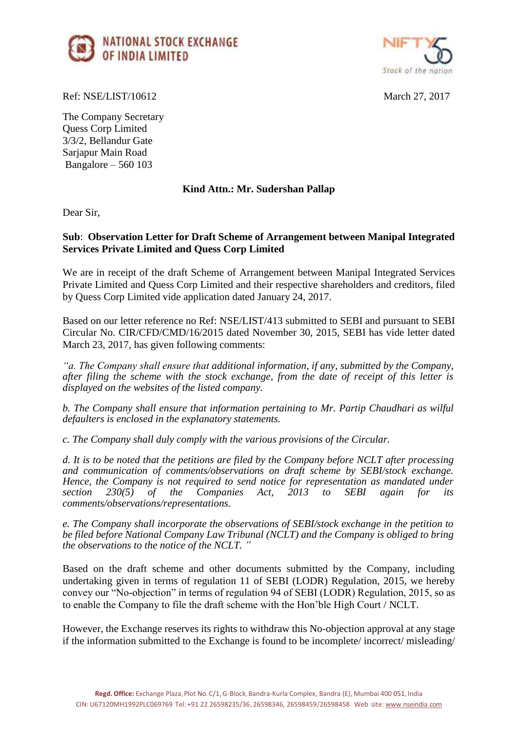



Ref: NSE/LIST/10612 March 27, 2017

The Company Secretary Quess Corp Limited 3/3/2, Bellandur Gate Sarjapur Main Road Bangalore – 560 103

## **Kind Attn.: Mr. Sudershan Pallap**

Dear Sir,

## **Sub**: **Observation Letter for Draft Scheme of Arrangement between Manipal Integrated Services Private Limited and Quess Corp Limited**

We are in receipt of the draft Scheme of Arrangement between Manipal Integrated Services Private Limited and Quess Corp Limited and their respective shareholders and creditors, filed by Quess Corp Limited vide application dated January 24, 2017.

Based on our letter reference no Ref: NSE/LIST/413 submitted to SEBI and pursuant to SEBI Circular No. CIR/CFD/CMD/16/2015 dated November 30, 2015, SEBI has vide letter dated March 23, 2017, has given following comments:

*"a. The Company shall ensure that additional information, if any, submitted by the Company, after filing the scheme with the stock exchange, from the date of receipt of this letter is displayed on the websites of the listed company.*

*b. The Company shall ensure that information pertaining to Mr. Partip Chaudhari as wilful defaulters is enclosed in the explanatory statements.*

*c. The Company shall duly comply with the various provisions of the Circular.*

*d. It is to be noted that the petitions are filed by the Company before NCLT after processing and communication of comments/observations on draft scheme by SEBI/stock exchange. Hence, the Company is not required to send notice for representation as mandated under section* 230(5) of the Companies Act, 2013 to SEBI again for its *section 230(5) of the Companies Act, 2013 to SEBI again for its comments/observations/representations.* 

*e. The Company shall incorporate the observations of SEBI/stock exchange in the petition to be filed before National Company Law Tribunal (NCLT) and the Company is obliged to bring the observations to the notice of the NCLT. "*

Based on the draft scheme and other documents submitted by the Company, including undertaking given in terms of regulation 11 of SEBI (LODR) Regulation, 2015, we hereby convey our "No-objection" in terms of regulation 94 of SEBI (LODR) Regulation, 2015, so as to enable the Company to file the draft scheme with the Hon'ble High Court / NCLT.

However, the Exchange reserves its rights to withdraw this No-objection approval at any stage if the information submitted to the Exchange is found to be incomplete/ incorrect/ misleading/